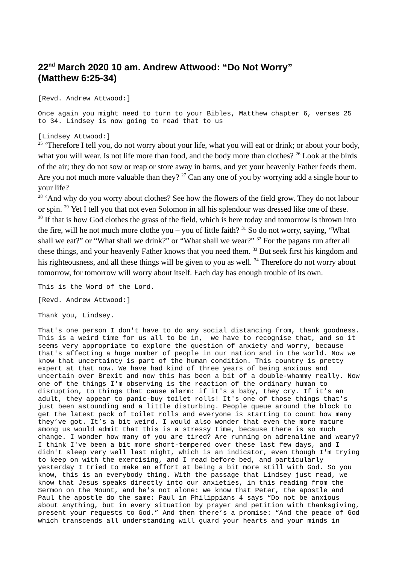## **22 nd March 2020 10 am. Andrew Attwood: "Do Not Worry" (Matthew 6:25-34)**

[Revd. Andrew Attwood:]

Once again you might need to turn to your Bibles, Matthew chapter 6, verses 25 to 34. Lindsey is now going to read that to us

[Lindsey Attwood:]

 $25$  'Therefore I tell you, do not worry about your life, what you will eat or drink; or about your body, what you will wear. Is not life more than food, and the body more than clothes? <sup>26</sup> Look at the birds of the air; they do not sow or reap or store away in barns, and yet your heavenly Father feeds them. Are you not much more valuable than they?  $27$  Can any one of you by worrying add a single hour to your life?

<sup>28</sup> 'And why do you worry about clothes? See how the flowers of the field grow. They do not labour or spin. <sup>29</sup> Yet I tell you that not even Solomon in all his splendour was dressed like one of these. <sup>30</sup> If that is how God clothes the grass of the field, which is here today and tomorrow is thrown into the fire, will he not much more clothe you – you of little faith?  $31$  So do not worry, saying, "What shall we eat?" or "What shall we drink?" or "What shall we wear?" <sup>32</sup> For the pagans run after all these things, and your heavenly Father knows that you need them. <sup>33</sup> But seek first his kingdom and his righteousness, and all these things will be given to you as well. <sup>34</sup> Therefore do not worry about tomorrow, for tomorrow will worry about itself. Each day has enough trouble of its own.

This is the Word of the Lord.

[Revd. Andrew Attwood:]

Thank you, Lindsey.

That's one person I don't have to do any social distancing from, thank goodness. This is a weird time for us all to be in, we have to recognise that, and so it seems very appropriate to explore the question of anxiety and worry, because that's affecting a huge number of people in our nation and in the world. Now we know that uncertainty is part of the human condition. This country is pretty expert at that now. We have had kind of three years of being anxious and uncertain over Brexit and now this has been a bit of a double-whammy really. Now one of the things I'm observing is the reaction of the ordinary human to disruption, to things that cause alarm: if it's a baby, they cry. If it's an adult, they appear to panic-buy toilet rolls! It's one of those things that's just been astounding and a little disturbing. People queue around the block to get the latest pack of toilet rolls and everyone is starting to count how many they've got. It's a bit weird. I would also wonder that even the more mature among us would admit that this is a stressy time, because there is so much change. I wonder how many of you are tired? Are running on adrenaline and weary? I think I've been a bit more short-tempered over these last few days, and I didn't sleep very well last night, which is an indicator, even though I'm trying to keep on with the exercising, and I read before bed, and particularly yesterday I tried to make an effort at being a bit more still with God. So you know, this is an everybody thing. With the passage that Lindsey just read, we know that Jesus speaks directly into our anxieties, in this reading from the Sermon on the Mount, and he's not alone: we know that Peter, the apostle and Paul the apostle do the same: Paul in Philippians 4 says "Do not be anxious about anything, but in every situation by prayer and petition with thanksgiving, present your requests to God." And then there's a promise: "And the peace of God which transcends all understanding will guard your hearts and your minds in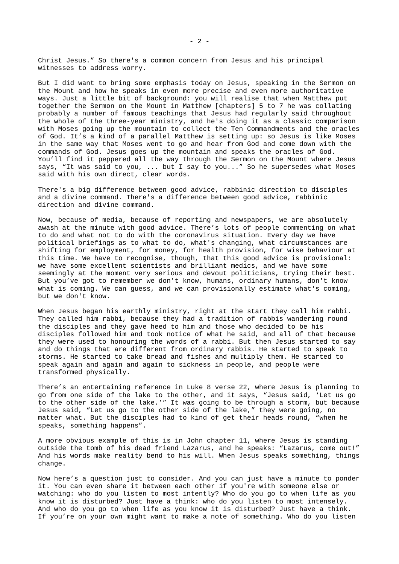Christ Jesus." So there's a common concern from Jesus and his principal witnesses to address worry.

But I did want to bring some emphasis today on Jesus, speaking in the Sermon on the Mount and how he speaks in even more precise and even more authoritative ways. Just a little bit of background: you will realise that when Matthew put together the Sermon on the Mount in Matthew [chapters] 5 to 7 he was collating probably a number of famous teachings that Jesus had regularly said throughout the whole of the three-year ministry, and he's doing it as a classic comparison with Moses going up the mountain to collect the Ten Commandments and the oracles of God. It's a kind of a parallel Matthew is setting up: so Jesus is like Moses in the same way that Moses went to go and hear from God and come down with the commands of God. Jesus goes up the mountain and speaks the oracles of God. You'll find it peppered all the way through the Sermon on the Mount where Jesus says, "It was said to you, ... but I say to you..." So he supersedes what Moses said with his own direct, clear words.

There's a big difference between good advice, rabbinic direction to disciples and a divine command. There's a difference between good advice, rabbinic direction and divine command.

Now, because of media, because of reporting and newspapers, we are absolutely awash at the minute with good advice. There's lots of people commenting on what to do and what not to do with the coronavirus situation. Every day we have political briefings as to what to do, what's changing, what circumstances are shifting for employment, for money, for health provision, for wise behaviour at this time. We have to recognise, though, that this good advice is provisional: we have some excellent scientists and brilliant medics, and we have some seemingly at the moment very serious and devout politicians, trying their best. But you've got to remember we don't know, humans, ordinary humans, don't know what is coming. We can guess, and we can provisionally estimate what's coming, but we don't know.

When Jesus began his earthly ministry, right at the start they call him rabbi. They called him rabbi, because they had a tradition of rabbis wandering round the disciples and they gave heed to him and those who decided to be his disciples followed him and took notice of what he said, and all of that because they were used to honouring the words of a rabbi. But then Jesus started to say and do things that are different from ordinary rabbis. He started to speak to storms. He started to take bread and fishes and multiply them. He started to speak again and again and again to sickness in people, and people were transformed physically.

There's an entertaining reference in Luke 8 verse 22, where Jesus is planning to go from one side of the lake to the other, and it says, "Jesus said, 'Let us go to the other side of the lake.'" It was going to be through a storm, but because Jesus said, "Let us go to the other side of the lake," they were going, no matter what. But the disciples had to kind of get their heads round, "when he speaks, something happens".

A more obvious example of this is in John chapter 11, where Jesus is standing outside the tomb of his dead friend Lazarus, and he speaks: "Lazarus, come out!" And his words make reality bend to his will. When Jesus speaks something, things change.

Now here's a question just to consider. And you can just have a minute to ponder it. You can even share it between each other if you're with someone else or watching: who do you listen to most intently? Who do you go to when life as you know it is disturbed? Just have a think: who do you listen to most intensely. And who do you go to when life as you know it is disturbed? Just have a think. If you're on your own might want to make a note of something. Who do you listen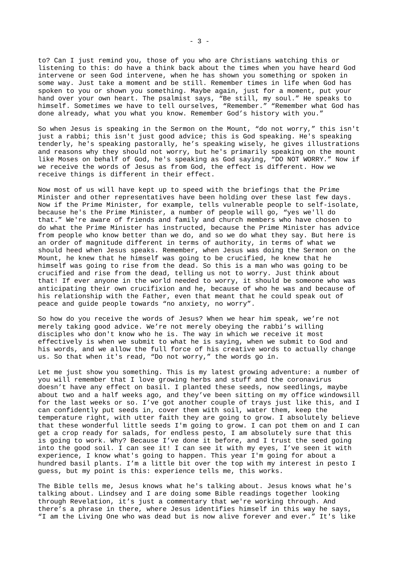to? Can I just remind you, those of you who are Christians watching this or listening to this: do have a think back about the times when you have heard God intervene or seen God intervene, when he has shown you something or spoken in some way. Just take a moment and be still. Remember times in life when God has spoken to you or shown you something. Maybe again, just for a moment, put your hand over your own heart. The psalmist says, "Be still, my soul." He speaks to himself. Sometimes we have to tell ourselves, "Remember." "Remember what God has done already, what you what you know. Remember God's history with you."

So when Jesus is speaking in the Sermon on the Mount, "do not worry," this isn't just a rabbi; this isn't just good advice; this is God speaking. He's speaking tenderly, he's speaking pastorally, he's speaking wisely, he gives illustrations and reasons why they should not worry, but he's primarily speaking on the mount like Moses on behalf of God, he's speaking as God saying, "DO NOT WORRY." Now if we receive the words of Jesus as from God, the effect is different. How we receive things is different in their effect.

Now most of us will have kept up to speed with the briefings that the Prime Minister and other representatives have been holding over these last few days. Now if the Prime Minister, for example, tells vulnerable people to self-isolate, because he's the Prime Minister, a number of people will go, "yes we'll do that." We're aware of friends and family and church members who have chosen to do what the Prime Minister has instructed, because the Prime Minister has advice from people who know better than we do, and so we do what they say. But here is an order of magnitude different in terms of authority, in terms of what we should heed when Jesus speaks. Remember, when Jesus was doing the Sermon on the Mount, he knew that he himself was going to be crucified, he knew that he himself was going to rise from the dead. So this is a man who was going to be crucified and rise from the dead, telling us not to worry. Just think about that! If ever anyone in the world needed to worry, it should be someone who was anticipating their own crucifixion and he, because of who he was and because of his relationship with the Father, even that meant that he could speak out of peace and guide people towards "no anxiety, no worry".

So how do you receive the words of Jesus? When we hear him speak, we're not merely taking good advice. We're not merely obeying the rabbi's willing disciples who don't know who he is. The way in which we receive it most effectively is when we submit to what he is saying, when we submit to God and his words, and we allow the full force of his creative words to actually change us. So that when it's read, "Do not worry," the words go in.

Let me just show you something. This is my latest growing adventure: a number of you will remember that I love growing herbs and stuff and the coronavirus doesn't have any effect on basil. I planted these seeds, now seedlings, maybe about two and a half weeks ago, and they've been sitting on my office windowsill for the last weeks or so. I've got another couple of trays just like this, and I can confidently put seeds in, cover them with soil, water them, keep the temperature right, with utter faith they are going to grow. I absolutely believe that these wonderful little seeds I'm going to grow. I can pot them on and I can get a crop ready for salads, for endless pesto, I am absolutely sure that this is going to work. Why? Because I've done it before, and I trust the seed going into the good soil. I can see it! I can see it with my eyes, I've seen it with experience, I know what's going to happen. This year I'm going for about a hundred basil plants. I'm a little bit over the top with my interest in pesto I guess, but my point is this: experience tells me, this works.

The Bible tells me, Jesus knows what he's talking about. Jesus knows what he's talking about. Lindsey and I are doing some Bible readings together looking through Revelation, it's just a commentary that we're working through. And there's a phrase in there, where Jesus identifies himself in this way he says, "I am the Living One who was dead but is now alive forever and ever." It's like